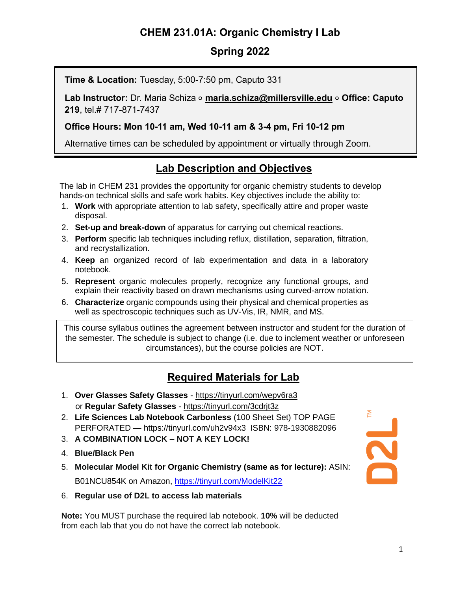# **CHEM 231.01A: Organic Chemistry I Lab**

### **Spring 2022**

**Time & Location:** Tuesday, 5:00-7:50 pm, Caputo 331

**Lab Instructor:** Dr. Maria Schiza ⚬ **[maria.schiza@millersville.edu](mailto:maria.schiza@millersville.edu)** ⚬ **Office: Caputo 219**, tel.# 717-871-7437

**Office Hours: Mon 10-11 am, Wed 10-11 am & 3-4 pm, Fri 10-12 pm**

Alternative times can be scheduled by appointment or virtually through Zoom.

# **Lab Description and Objectives**

The lab in CHEM 231 provides the opportunity for organic chemistry students to develop hands-on technical skills and safe work habits. Key objectives include the ability to:

- 1. **Work** with appropriate attention to lab safety, specifically attire and proper waste disposal.
- 2. **Set-up and break-down** of apparatus for carrying out chemical reactions.
- 3. **Perform** specific lab techniques including reflux, distillation, separation, filtration, and recrystallization.
- 4. **Keep** an organized record of lab experimentation and data in a laboratory notebook.
- 5. **Represent** organic molecules properly, recognize any functional groups, and explain their reactivity based on drawn mechanisms using curved-arrow notation.
- 6. **Characterize** organic compounds using their physical and chemical properties as well as spectroscopic techniques such as UV-Vis, IR, NMR, and MS.

This course syllabus outlines the agreement between instructor and student for the duration of the semester. The schedule is subject to change (i.e. due to inclement weather or unforeseen circumstances), but the course policies are NOT.

## **Required Materials for Lab**

- 1. **Over Glasses Safety Glasses** <https://tinyurl.com/wepv6ra3> or **Regular Safety Glasses** - <https://tinyurl.com/3cdrjt3z>
- 2. **Life Sciences Lab Notebook Carbonless** (100 Sheet Set) TOP PAGE PERFORATED — <https://tinyurl.com/uh2v94x3> ISBN: 978-1930882096
- 3. **A COMBINATION LOCK – NOT A KEY LOCK!**
- 4. **Blue/Black Pen**
- 5. **Molecular Model Kit for Organic Chemistry (same as for lecture):** ASIN: B01NCU854K on Amazon,<https://tinyurl.com/ModelKit22>
- 6. **Regular use of D2L to access lab materials**

**Note:** You MUST purchase the required lab notebook. **10%** will be deducted from each lab that you do not have the correct lab notebook.

**P2L**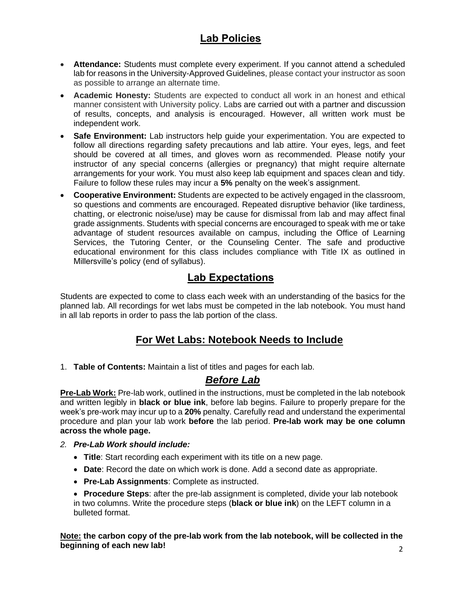# **Lab Policies**

- **Attendance:** Students must complete every experiment. If you cannot attend a scheduled lab for reasons in the University-Approved Guidelines, please contact your instructor as soon as possible to arrange an alternate time.
- **Academic Honesty:** Students are expected to conduct all work in an honest and ethical manner consistent with University policy. Labs are carried out with a partner and discussion of results, concepts, and analysis is encouraged. However, all written work must be independent work.
- **Safe Environment:** Lab instructors help guide your experimentation. You are expected to follow all directions regarding safety precautions and lab attire. Your eyes, legs, and feet should be covered at all times, and gloves worn as recommended. Please notify your instructor of any special concerns (allergies or pregnancy) that might require alternate arrangements for your work. You must also keep lab equipment and spaces clean and tidy. Failure to follow these rules may incur a **5%** penalty on the week's assignment.
- **Cooperative Environment:** Students are expected to be actively engaged in the classroom, so questions and comments are encouraged. Repeated disruptive behavior (like tardiness, chatting, or electronic noise/use) may be cause for dismissal from lab and may affect final grade assignments. Students with special concerns are encouraged to speak with me or take advantage of student resources available on campus, including the Office of Learning Services, the Tutoring Center, or the Counseling Center. The safe and productive educational environment for this class includes compliance with Title IX as outlined in Millersville's policy (end of syllabus).

### **Lab Expectations**

Students are expected to come to class each week with an understanding of the basics for the planned lab. All recordings for wet labs must be competed in the lab notebook. You must hand in all lab reports in order to pass the lab portion of the class.

## **For Wet Labs: Notebook Needs to Include**

1. **Table of Contents:** Maintain a list of titles and pages for each lab.

#### *Before Lab*

**Pre-Lab Work:** Pre-lab work, outlined in the instructions, must be completed in the lab notebook and written legibly in **black or blue ink**, before lab begins. Failure to properly prepare for the week's pre-work may incur up to a **20%** penalty. Carefully read and understand the experimental procedure and plan your lab work **before** the lab period. **Pre-lab work may be one column across the whole page.** 

#### *2. Pre-Lab Work should include:*

- **Title**: Start recording each experiment with its title on a new page.
- **Date**: Record the date on which work is done. Add a second date as appropriate.
- **Pre-Lab Assignments**: Complete as instructed.
- **Procedure Steps**: after the pre-lab assignment is completed, divide your lab notebook in two columns. Write the procedure steps (**black or blue ink**) on the LEFT column in a bulleted format.

**Note: the carbon copy of the pre-lab work from the lab notebook, will be collected in the beginning of each new lab!**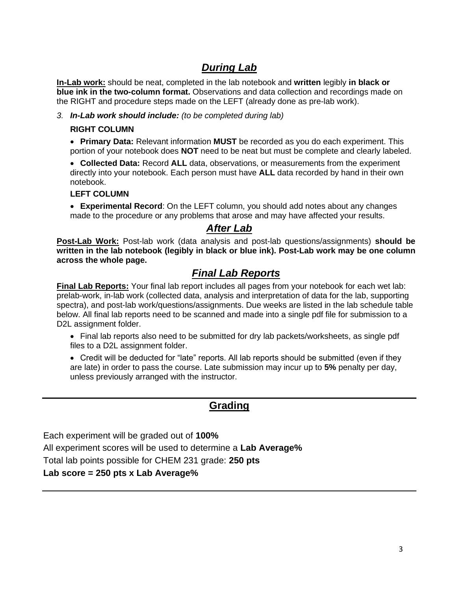# *During Lab*

**In-Lab work:** should be neat, completed in the lab notebook and **written** legibly **in black or blue ink in the two-column format.** Observations and data collection and recordings made on the RIGHT and procedure steps made on the LEFT (already done as pre-lab work).

*3. In-Lab work should include: (to be completed during lab)*

#### **RIGHT COLUMN**

• **Primary Data:** Relevant information **MUST** be recorded as you do each experiment. This portion of your notebook does **NOT** need to be neat but must be complete and clearly labeled.

• **Collected Data:** Record **ALL** data, observations, or measurements from the experiment directly into your notebook. Each person must have **ALL** data recorded by hand in their own notebook.

#### **LEFT COLUMN**

• **Experimental Record**: On the LEFT column, you should add notes about any changes made to the procedure or any problems that arose and may have affected your results.

#### *After Lab*

**Post-Lab Work:** Post-lab work (data analysis and post-lab questions/assignments) **should be written in the lab notebook (legibly in black or blue ink). Post-Lab work may be one column across the whole page.**

#### *Final Lab Reports*

**Final Lab Reports:** Your final lab report includes all pages from your notebook for each wet lab: prelab-work, in-lab work (collected data, analysis and interpretation of data for the lab, supporting spectra), and post-lab work/questions/assignments. Due weeks are listed in the lab schedule table below. All final lab reports need to be scanned and made into a single pdf file for submission to a D2L assignment folder.

• Final lab reports also need to be submitted for dry lab packets/worksheets, as single pdf files to a D2L assignment folder.

• Credit will be deducted for "late" reports. All lab reports should be submitted (even if they are late) in order to pass the course. Late submission may incur up to **5%** penalty per day, unless previously arranged with the instructor.

#### **Grading**

Each experiment will be graded out of **100%**

All experiment scores will be used to determine a **Lab Average%**

Total lab points possible for CHEM 231 grade: **250 pts**

#### **Lab score = 250 pts x Lab Average%**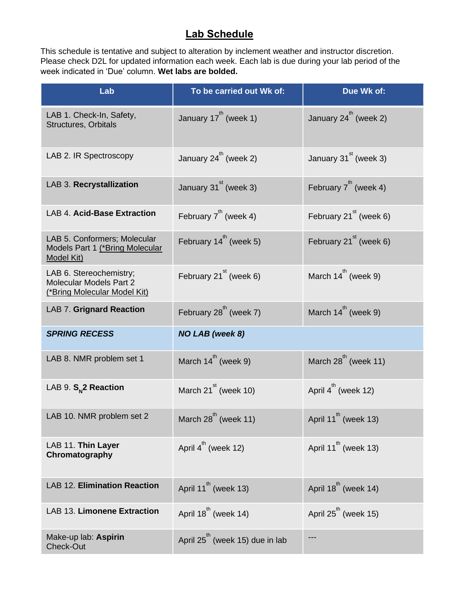## **Lab Schedule**

This schedule is tentative and subject to alteration by inclement weather and instructor discretion. Please check D2L for updated information each week. Each lab is due during your lab period of the week indicated in 'Due' column. **Wet labs are bolded.**

| Lab                                                                                       | To be carried out Wk of:                    | Due Wk of:                         |
|-------------------------------------------------------------------------------------------|---------------------------------------------|------------------------------------|
| LAB 1. Check-In, Safety,<br><b>Structures, Orbitals</b>                                   | January $17^{th}$ (week 1)                  | January $24^{th}$ (week 2)         |
| LAB 2. IR Spectroscopy                                                                    | January $24^{th}$ (week 2)                  | January $31st$ (week 3)            |
| LAB 3. Recrystallization                                                                  | January $31st$ (week 3)                     | February $7^{th}$ (week 4)         |
| <b>LAB 4. Acid-Base Extraction</b>                                                        | February $7^{th}$ (week 4)                  | February 21 <sup>st</sup> (week 6) |
| LAB 5. Conformers; Molecular<br>Models Part 1 (*Bring Molecular<br><b>Model Kit)</b>      | February $14^{th}$ (week 5)                 | February $21st$ (week 6)           |
| LAB 6. Stereochemistry;<br>Molecular Models Part 2<br><u>(*Bring Molecular Model Kit)</u> | February $21st$ (week 6)                    | March $14^{th}$ (week 9)           |
| <b>LAB 7. Grignard Reaction</b>                                                           | February $28^{th}$ (week 7)                 | March $14^{th}$ (week 9)           |
| <b>SPRING RECESS</b>                                                                      | <b>NO LAB</b> (week 8)                      |                                    |
| LAB 8. NMR problem set 1                                                                  | March $14^{th}$ (week 9)                    | March $28^{th}$ (week 11)          |
| LAB 9. S <sub>N</sub> 2 Reaction                                                          | March $21st$ (week 10)                      | April $4^{\text{th}}$ (week 12)    |
| LAB 10. NMR problem set 2                                                                 | March 28 <sup>th</sup> (week 11)            | April 11 <sup>th</sup> (week 13)   |
| LAB 11. Thin Layer<br>Chromatography                                                      | April 4 <sup>th</sup> (week 12)             | April 11 $^{\text{th}}$ (week 13)  |
| <b>LAB 12. Elimination Reaction</b>                                                       | April 11 <sup>th</sup> (week 13)            | April $18^{th}$ (week 14)          |
| LAB 13. Limonene Extraction                                                               | April $18^{th}$ (week 14)                   | April $25^{\text{th}}$ (week 15)   |
| Make-up lab: Aspirin<br>Check-Out                                                         | April 25 <sup>th</sup> (week 15) due in lab | ---                                |